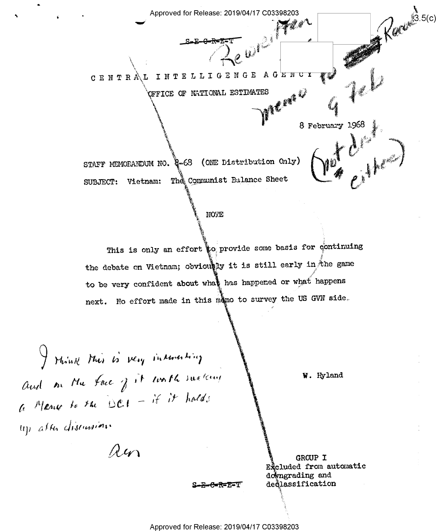$\epsilon$  , and the contract approved for Release: 2019/04/17 C03398203 pew» 5.  $\bigvee\hspace{-0.25cm}\Gamma$  INTELLIGENGE AGE.  $\sqrt{\text{C}}$ FFICE OF NATIONAL ESTIMATES c E N T R s 1'»  $f$ STAFF MEMORANDUM NO. 2008  $S-E-0$ -R= $E=T$   $\qquad$ **WEIGHT**  $\sum_{i=1}^n$ \\. . (ONE Distribution Only) 8 February 1968  $\frac{1}{2}$ SUBJECT: Vietnam: The Communist Balance Sheet '% W. \_~'. §3v 1968 '5-w ii e  $\ell$   $\ell$ ္မာ.၁(၄)

## **NOTE**

This is only an effort  $\phi$  provide some basis for continuing the debate on Vietnam; obviously it is still early in the game to be very confident about what has happened or what happens next. No effort made in this mano to survey the US GVN side.

I think this is very interesting and on My face  $j$  it would surking  $\bigwedge$  W. Hyland  $a$  Meny to the DCI - if it hald; up *allu distiwit*in'

 $\ddot{\phantom{1}}$ 

 $\lambda w$ 

S-E-6I'R=-'E'-7'1"

**plumed GRCUP I**<br>Excluded from automatic downgrading and deqlassification

 $\cdot$ i $\cdot$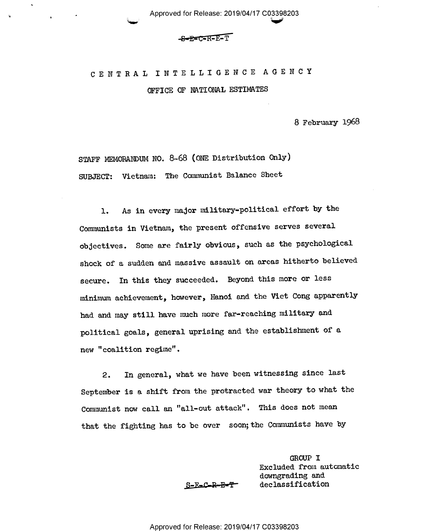## $-$ S $-$ E $=$ C $-$ R $-$ E $-$ T

 $\blacktriangledown$  in the state  $\blacktriangledown$ 

 $\sim$ 

# <sup>C</sup>E N T R A L I N T E L L I G E N C E A G E N <sup>C</sup> Y OFICE QF NATIONAL ESTIMATES

8 February 1968

STAFF MEMORANDUM NO. 8~68 (ONE Distribution Only) SUBJECT: Vietnam: The Communist Balance Sheet

l. As in every major military-political effort by the Communists in Vietnam, the present offensive serves several objectives. Some are fairly obvious, such as the psychological shock of a sudden and massive assault on areas hitherto believed secure. In this they succeeded. Beyond this more or less minimum achievement, however, Hanoi and the Viet Cong apparently had and may still have much more far-reaching military and political goals, general uprising and the establishment of a new "coalition regime".

2. In general, what we have been witnessing since last September is a shift from the protracted war theory to what the Communist now call an "all-out attack". This does not mean that the fighting has to be over soon; the Communists have by

> GROUP I Excluded from automatic downgrading and S-E-C-R-E-T' declassification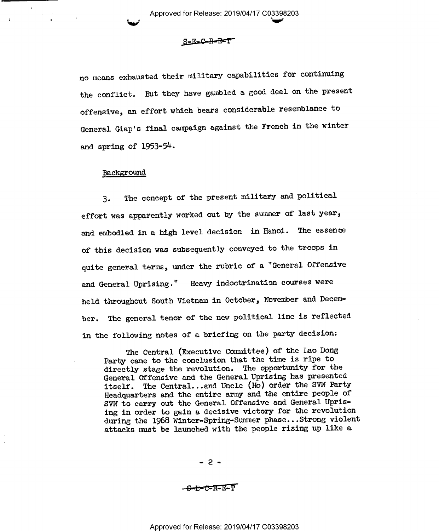S-E=C-R-E=T

 $\overline{\phantom{a}}$  here is no interesting to the  $\overline{\phantom{a}}$ 

no means exhausted their military capabilities for continuing the conflict. But they have gambled a good deal on the present offensive, an effort which bears considerable resemblance to General Giap's final campaign against the French in the winter and spring of 1953-5k.

### Background

3. The concept of the present military and political effort was apparently worked out by the summer of last year, and embodied in a high level decision in Hanoi. The essence of this decision was subsequently conveyed to the troops in quite general terms, under the rubric of a "General Offensive and General Uprising." Heavy indoctrination courses were held throughout South Vietnam in October, November and December. The general tenor of the new political line is reflected in the following notes of a briefing on the party decision:

The Central (Executive Comittee) of the Lao Dong Party came to the conclusion that the time is ripe to directly stage the revolution. The opportunity for the General Offensive and the General Uprising has presented itself. The Central...and Uncle (Ho) order the SVN Party Headquarters and the entire army and the entire people of SVN to carry out the General Offensive and General Uprising in order to gain a decisive victory for the revolution during the 1968 Winter-Spring-Sumer phase...Strong violent attacks must be launched with the people rising up like a

- 2 -

-s-e=c=a=E:T'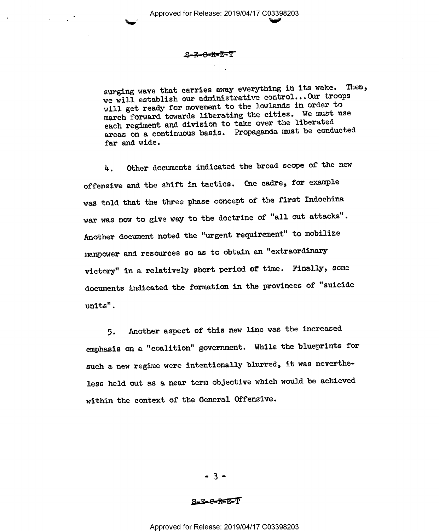### .S-E-C-R-E-T

surging wave that carries away everything in its wake. Then, we will establish our administrative control...Our troops will get ready for movement to the lowlands in order to march forward towards liberating the cities. We must use each regiment and division to take over the liberated areas on a continuous basis. Propaganda must be conducted far and wide.

4. Other documents indicated the broad scope of the new offensive and the shift in tactics. One cadre, for example was told that the three phase concept of the first Indochina war was now to give way to the doctrine of "all out attacks". Another document noted the "urgent requirement" to mobilize manpower and resources so as to obtain an "extraordinary victory" in a relatively short period of time. Finally, some documents indicated the formation in the provinces of "suicide units" .

5. Another aspect of this new line was the increased emphasis on a "coalition" government. While the blueprints for such a new regime were intentionally blurred, it was nevertheless held out as a near term objective which would be achieved within the context of the General Offensive.

 $-3 -$ 

 $S = E - G - R = E - T$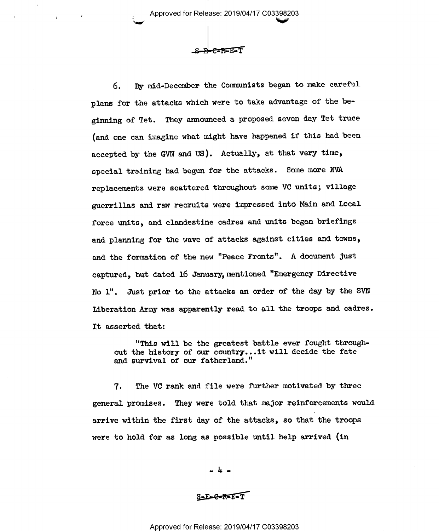$E - E = F - F$ 

 $\blacktriangleright$  is the set of  $\blacktriangleright$ 

6. By mid-December the Communists began to make careful plans for the attacks which were to take advantage of the beginning of Tet. They announced a proposed seven day Tet truce (and one can imagine what might have happened if this had been accepted by the GVN and US). Actually, at that very time, special training had begun for the attacks. Some more NVA replacements were scattered throughout some VC units; village guerrillas and raw recruits were impressed into Main and Local force units, and clandestine cadres and units began briefings and planning for the wave of attacks against cities and towns, and the formation of the new "Peace Fronts". A document just captured, but dated 16 January, mentioned "Emergency Directive No l". Just prior to the attacks an order of the day by the SVN Idberation Army was apparently read to all the troops and cadres. It asserted that:

"This will be the greatest battle ever fought throughout the history of our country...it will decide the fate and survival of our fatherland."

7. The VC rank and file were further motivated by three general promises. They were told that major reinforcements would arrive within the first day of the attacks, so that the troops were to hold for as long as possible until help arrived (in

 $-4 -$ 

S-E-C-R-E-T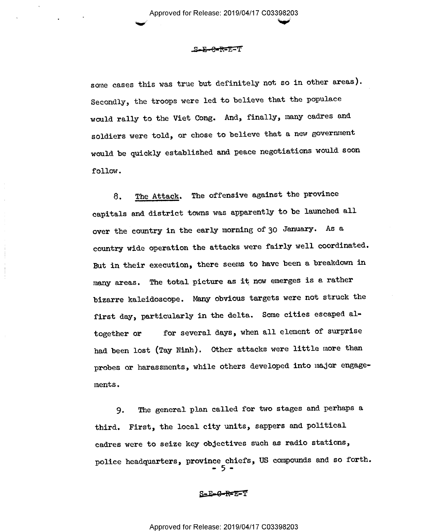#### .S<del>-E-C-R-E</del>-T

some cases this was true but definitely not so in other areas). Secondly, the troops were led to believe that the populace would rally to the Viet Cong. And, finally, many cadres and soldiers were told, or chose to believe that a new government would be quickly established and peace negotiations would soon follow.

8. The Attack. The offensive against the province capitals and district towns was apparently to be launched all over the country in the early morning of 30 January. As <sup>a</sup> country wide operation the attacks were fairly well coordinated But in their execution, there seems to have been a breakdown in many areas. The total picture as it now emerges is a rather bizarre kaleidoscope. Many obvious targets were not struck the first day, particularly in the delta. Some cities escaped altogether or for several days, when all element of surprise had been lost (Tay Ninh). Other attacks were little more than probes or harassments, while others developed into major engagements .

9. The general plan called for two stages and perhaps a third. First, the local city units, sappers and political cadres were to seize key objectives such as radio stations, police headquarters, province chiefs, US compounds and so forth.<br> $=$  5  $=$ 

S=E-G-R=E=T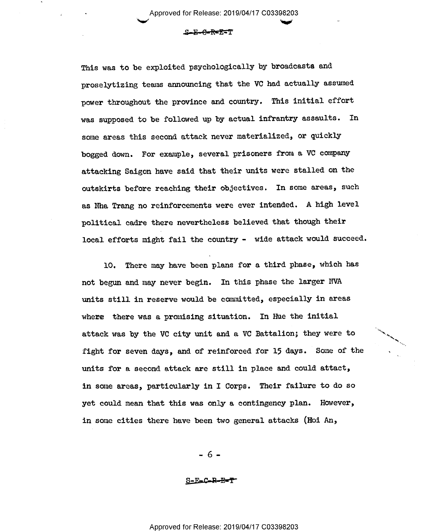$\smile$  the state  $\smile$ 

# S-E-€'R=E=T

This was to be exploited psychologically by broadcasts and proselytizing teams announcing that the VC had actually assumed power throughout the province and country. This initial effort was supposed to be followed up by actual infrantry assaults. In some areas this second attack never materialized, or quickly bogged down. For example, several prisoners from a VC company attacking Saigon have said that their units were stalled on the outskirts before reaching their objectives. In some areas, such as Nha Trang no reinforcements were ever intended. A high level political cadre there nevertheless believed that though their local efforts might fail the country - wide attack would succeed.

10. There may have been plans for a third phase, which has not begun and may never begin. In this phase the larger NVA units still in reserve would be committed, especially in areas where there was a promising situation. In Hue the initial attack was by the VC city unit and a VC Battalion; they were to fight for seven days, and of reinforced for 15 days. Some of the units for a second attack are still in place and could attact, in some areas, particularly in I Corps. Their failure to do so yet could mean that this was only a contingency plan. However, in some cities there have been two general attacks (Hoi An,

-5-

§\_-j'=.C-R-EFT'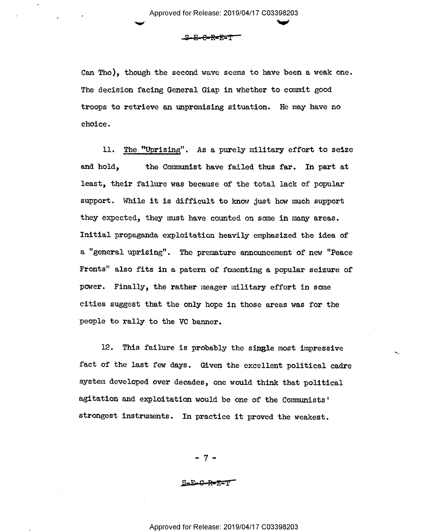$S-E-C-R-E=T$ 

Can Tho), though the second wave seems to have been a weak one. The decision facing General Giap in whether to commit good troops to retrieve an unpromising situation. He may have no choice.

ll. The fgprising". As a purely military effort to seize and hold, the Communist have failed thus far. In part at least, their failure was because of the total lack of popular support. While it is difficult to know just how much support they expected, they must have counted on some in many areas. Initial propaganda exploitation heavily emphasized the idea of a "general uprising". The premature announcement of new "Peace Fronts" also fits in a patern of fomenting a popular seizure of power. Finally, the rather meager military effort in some cities suggest that the only hope in those areas was for the people to rally to the VC banner.

12. This failure is probably the single most impressive fact of the last few days. Given the excellent political cadre system developed over decades, one would think that political agitation and exploitation would be one of the Communists' strongest instruments. In practice it proved the weakest.

> \_ 7 -

 $S-E-C-PF$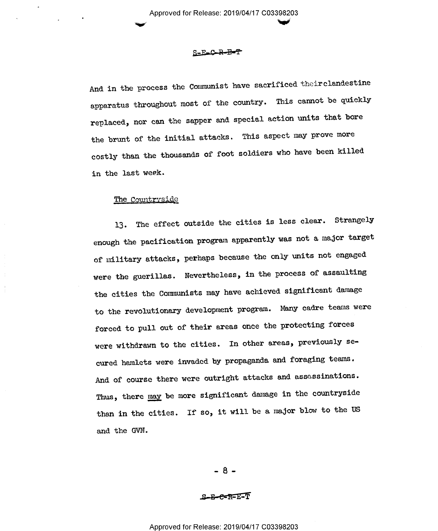## S-E-C-R-B-T

And in the process the Communist have sacrificed theirclandestine apparatus throughout most of the country. This cannot be quickly replaced, nor can the sapper and special action units that bore the brunt of the initial attacks. This aspect may prove more costly than the thousands of foot soldiers who have been killed in the last week.

### The Countryside

13. The effect outside the cities is less clear. Strangely enough the pacification program apparently was not a major target of military attacks, perhaps because the only units not engaged were the guerillas. Nevertheless, in the process of assaulting the cities the Communists may have achieved significant damage to the revolutionary development program. Many cadre teams were forced to pull out of their areas once the protecting forces were withdrawn to the cities. In other areas, previously secured hamlets were invaded by propaganda and foraging teams. And of course there were outright attacks and assassinations. Thus, there may be more significant damage in the countryside than in the cities. If so, it will be a major blow to the US and the GVN.

 $-8-$ 

.s-s-e=R=ET'f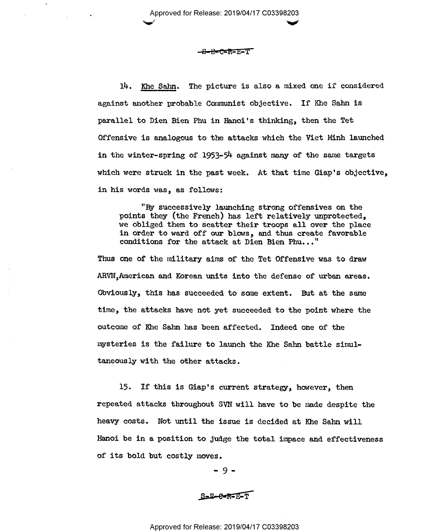Approved for Release: 2019/04/17 C03398203  $\checkmark$  for  $\checkmark$  for  $\checkmark$ 

#### —<del>S-R=C=R</del>=E=T

14. Khe Sahn. The picture is also a mixed one if considered against another probable Communist objective. If Khe Sahn is parallel to Dien Bien Phu in Hanoi's thinking, then the Tet Offensive is analogous to the attacks which the Viet Minh launched in the winter-spring of 1953-Sh against many of the same targets which were struck in the past week. At that time Giap's objective, in his words was, as follows:

"By successively launching strong offensives on the points they (the French) has left relatively unprotected, we obliged them to scatter their troops all over the place in order to ward off our blows, and thus create favorable conditions for the attack at Dien Bien Phu..."

Thus one of the military aims of the Tet Offensive was to draw ARVN, American and Korean units into the defense of urban areas. Obviously, this has succeeded to some extent. But at the same time, the attacks have not yet succeeded to the point where the outcome of Khe Sahn has been affected. Indeed one of the mysteries is the failure to launch the Khe Sahn battle simultaneously with the other attacks.

l5. If this is Giap's current strategy, however, then repeated attacks throughout SVN will have to be made despite the heavy costs. Not until the issue is decided at Khe Sahn will Hanoi be in a position to Judge the total impace and effectiveness of its bold but costly moves.

\_ 9 -

S-E-C-R-E-T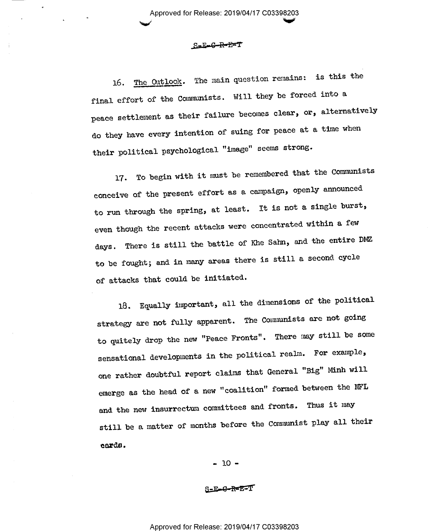Approved for Release: 2019/04/17 C03398203 early set of the set of  $\blacktriangledown$ 

## S=E-G-R-E=T

16. The Outlook. The main question remains: is this the final effort of the Communists. Will they be forced into <sup>a</sup> peace settlement as their failure becomes clear, or, alternatively do they have every intention of suing for peace at a time when their political psychological "image" seems strong.

l7. To begin with it must be remembered that the Communists conceive of the present effort as a campaign, openly announced to run through the spring, at least. It is not a single burst, even though the recent attacks were concentrated within a few days. There is still the battle of Khe Sahn, and the entire DMZ to be fought; and in many areas there is still a second cycle of attacks that could be initiated.

18. Equally important, all the dimensions of the political strategy are not fully apparent. The Communists are not going to quitely drop the new "Peace Fronts". There may still be some sensational developments in the political realm. For example, one rather doubtful report claims that General "Big" Minh will emerge as the head of a new "coalition" formed between the NFL and the new insurrectum committees and fronts. Thus it may still be a matter of months before the Communist play all their cards.

 $-10-$ 

§-G'R=E=T-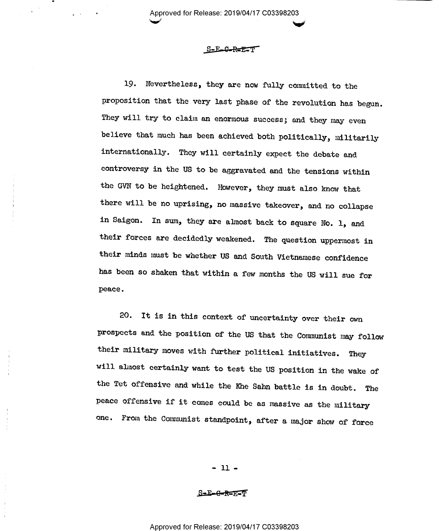Approved for Release: 2019/04/17 C03398203  $\checkmark$ 

### S-E<del>C.R=E:</del>T

19. Nevertheless, they are now fully committed to the proposition that the very last phase of the revolution has begun. They will try to claim an enormous success; and they may even believe that much has been achieved both politically, militarily internationally. They will certainly expect the debate and controversy in the US to be aggravated and the tensions within the GVN to be heightened. However, they must also know that there will be no uprising, no massive takeover, and no collapse in Saigon. In sum, they are ahmost back to square No. 1, and their forces are decidedly weakened. The question uppermost in their minds must be whether US and South Vietnamese confidence has been so shaken that within a few months the US will sue for peace.

20. It is in this context of uncertainty over their own prospects and the position of the US that the Communist may follow their military moves with further political initiatives. They will almost certainly want to test the US position in the wake of the Tet offensive and while the Khe Sahn battle is in doubt. The peace offensive if it comes could be as massive as the military one. From the Communist standpoint, after a major show of force

 $-11 -$ 

S-E-G-R-E-T